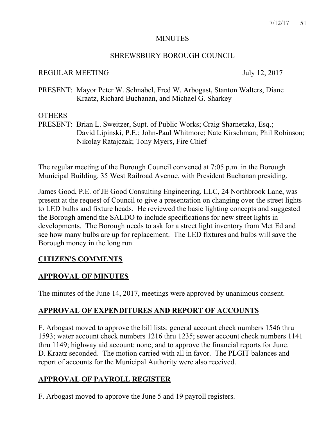#### MINUTES

### SHREWSBURY BOROUGH COUNCIL

### REGULAR MEETING July 12, 2017

PRESENT: Mayor Peter W. Schnabel, Fred W. Arbogast, Stanton Walters, Diane Kraatz, Richard Buchanan, and Michael G. Sharkey

#### **OTHERS**

PRESENT: Brian L. Sweitzer, Supt. of Public Works; Craig Sharnetzka, Esq.; David Lipinski, P.E.; John-Paul Whitmore; Nate Kirschman; Phil Robinson; Nikolay Ratajczak; Tony Myers, Fire Chief

The regular meeting of the Borough Council convened at 7:05 p.m. in the Borough Municipal Building, 35 West Railroad Avenue, with President Buchanan presiding.

James Good, P.E. of JE Good Consulting Engineering, LLC, 24 Northbrook Lane, was present at the request of Council to give a presentation on changing over the street lights to LED bulbs and fixture heads. He reviewed the basic lighting concepts and suggested the Borough amend the SALDO to include specifications for new street lights in developments. The Borough needs to ask for a street light inventory from Met Ed and see how many bulbs are up for replacement. The LED fixtures and bulbs will save the Borough money in the long run.

### **CITIZEN'S COMMENTS**

## **APPROVAL OF MINUTES**

The minutes of the June 14, 2017, meetings were approved by unanimous consent.

## **APPROVAL OF EXPENDITURES AND REPORT OF ACCOUNTS**

F. Arbogast moved to approve the bill lists: general account check numbers 1546 thru 1593; water account check numbers 1216 thru 1235; sewer account check numbers 1141 thru 1149; highway aid account: none; and to approve the financial reports for June. D. Kraatz seconded. The motion carried with all in favor. The PLGIT balances and report of accounts for the Municipal Authority were also received.

# **APPROVAL OF PAYROLL REGISTER**

F. Arbogast moved to approve the June 5 and 19 payroll registers.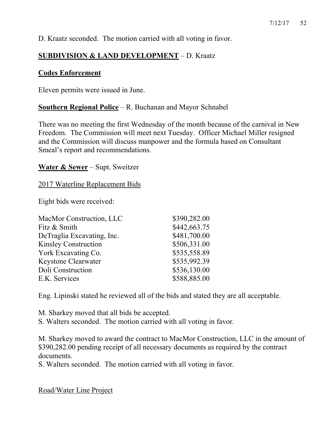D. Kraatz seconded. The motion carried with all voting in favor.

## **SUBDIVISION & LAND DEVELOPMENT** – D. Kraatz

#### **Codes Enforcement**

Eleven permits were issued in June.

#### **Southern Regional Police** – R. Buchanan and Mayor Schnabel

There was no meeting the first Wednesday of the month because of the carnival in New Freedom. The Commission will meet next Tuesday. Officer Michael Miller resigned and the Commission will discuss manpower and the formula based on Consultant Smeal's report and recommendations.

#### **Water & Sewer** – Supt. Sweitzer

#### 2017 Waterline Replacement Bids

Eight bids were received:

| MacMor Construction, LLC    | \$390,282.00 |
|-----------------------------|--------------|
| Fitz & Smith                | \$442,663.75 |
| DeTraglia Excavating, Inc.  | \$481,700.00 |
| <b>Kinsley Construction</b> | \$506,331.00 |
| York Excavating Co.         | \$535,558.89 |
| Keystone Clearwater         | \$535,992.39 |
| Doli Construction           | \$536,130.00 |
| E.K. Services               | \$588,885.00 |

Eng. Lipinski stated he reviewed all of the bids and stated they are all acceptable.

M. Sharkey moved that all bids be accepted.

S. Walters seconded. The motion carried with all voting in favor.

M. Sharkey moved to award the contract to MacMor Construction, LLC in the amount of \$390,282.00 pending receipt of all necessary documents as required by the contract documents.

S. Walters seconded. The motion carried with all voting in favor.

Road/Water Line Project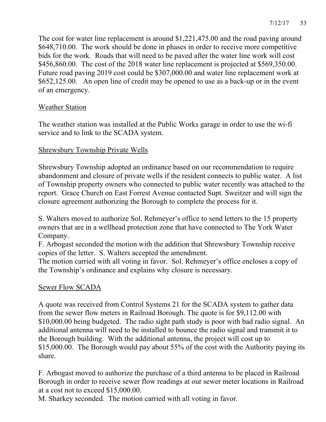The cost for water line replacement is around \$1,221,475.00 and the road paving around \$648,710.00. The work should be done in phases in order to receive more competitive bids for the work. Roads that will need to be paved after the water line work will cost \$456,860.00. The cost of the 2018 water line replacement is projected at \$569,350.00. Future road paving 2019 cost could be \$307,000.00 and water line replacement work at \$652,125.00. An open line of credit may be opened to use as a back-up or in the event of an emergency.

## Weather Station

The weather station was installed at the Public Works garage in order to use the wi-fi service and to link to the SCADA system.

## Shrewsbury Township Private Wells

Shrewsbury Township adopted an ordinance based on our recommendation to require abandonment and closure of private wells if the resident connects to public water. A list of Township property owners who connected to public water recently was attached to the report. Grace Church on East Forrest Avenue contacted Supt. Sweitzer and will sign the closure agreement authorizing the Borough to complete the process for it.

S. Walters moved to authorize Sol. Rehmeyer's office to send letters to the 15 property owners that are in a wellhead protection zone that have connected to The York Water Company.

F. Arbogast seconded the motion with the addition that Shrewsbury Township receive copies of the letter. S. Walters accepted the amendment.

The motion carried with all voting in favor. Sol. Rehmeyer's office encloses a copy of the Township's ordinance and explains why closure is necessary.

### Sewer Flow SCADA

A quote was received from Control Systems 21 for the SCADA system to gather data from the sewer flow meters in Railroad Borough. The quote is for \$9,112.00 with \$10,000.00 being budgeted. The radio sight path study is poor with bad radio signal. An additional antenna will need to be installed to bounce the radio signal and transmit it to the Borough building. With the additional antenna, the project will cost up to \$15,000.00. The Borough would pay about 55% of the cost with the Authority paying its share.

F. Arbogast moved to authorize the purchase of a third antenna to be placed in Railroad Borough in order to receive sewer flow readings at our sewer meter locations in Railroad at a cost not to exceed \$15,000.00.

M. Sharkey seconded. The motion carried with all voting in favor.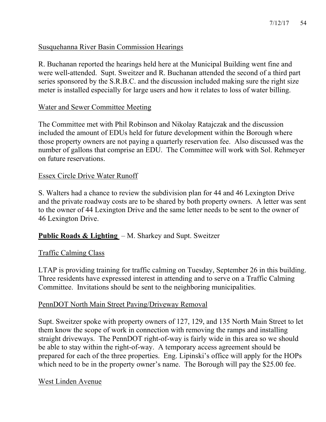#### Susquehanna River Basin Commission Hearings

R. Buchanan reported the hearings held here at the Municipal Building went fine and were well-attended. Supt. Sweitzer and R. Buchanan attended the second of a third part series sponsored by the S.R.B.C. and the discussion included making sure the right size meter is installed especially for large users and how it relates to loss of water billing.

#### Water and Sewer Committee Meeting

The Committee met with Phil Robinson and Nikolay Ratajczak and the discussion included the amount of EDUs held for future development within the Borough where those property owners are not paying a quarterly reservation fee. Also discussed was the number of gallons that comprise an EDU. The Committee will work with Sol. Rehmeyer on future reservations.

#### Essex Circle Drive Water Runoff

S. Walters had a chance to review the subdivision plan for 44 and 46 Lexington Drive and the private roadway costs are to be shared by both property owners. A letter was sent to the owner of 44 Lexington Drive and the same letter needs to be sent to the owner of 46 Lexington Drive.

### **Public Roads & Lighting** – M. Sharkey and Supt. Sweitzer

### Traffic Calming Class

LTAP is providing training for traffic calming on Tuesday, September 26 in this building. Three residents have expressed interest in attending and to serve on a Traffic Calming Committee. Invitations should be sent to the neighboring municipalities.

### PennDOT North Main Street Paving/Driveway Removal

Supt. Sweitzer spoke with property owners of 127, 129, and 135 North Main Street to let them know the scope of work in connection with removing the ramps and installing straight driveways. The PennDOT right-of-way is fairly wide in this area so we should be able to stay within the right-of-way. A temporary access agreement should be prepared for each of the three properties. Eng. Lipinski's office will apply for the HOPs which need to be in the property owner's name. The Borough will pay the \$25.00 fee.

#### West Linden Avenue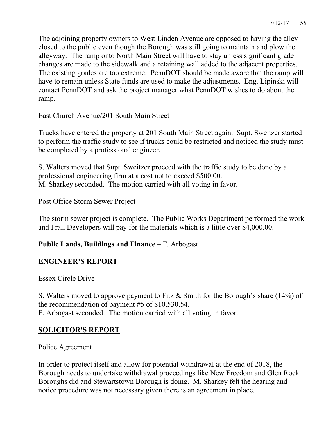The adjoining property owners to West Linden Avenue are opposed to having the alley closed to the public even though the Borough was still going to maintain and plow the alleyway. The ramp onto North Main Street will have to stay unless significant grade changes are made to the sidewalk and a retaining wall added to the adjacent properties. The existing grades are too extreme. PennDOT should be made aware that the ramp will have to remain unless State funds are used to make the adjustments. Eng. Lipinski will contact PennDOT and ask the project manager what PennDOT wishes to do about the ramp.

## East Church Avenue/201 South Main Street

Trucks have entered the property at 201 South Main Street again. Supt. Sweitzer started to perform the traffic study to see if trucks could be restricted and noticed the study must be completed by a professional engineer.

S. Walters moved that Supt. Sweitzer proceed with the traffic study to be done by a professional engineering firm at a cost not to exceed \$500.00. M. Sharkey seconded. The motion carried with all voting in favor.

### Post Office Storm Sewer Project

The storm sewer project is complete. The Public Works Department performed the work and Frall Developers will pay for the materials which is a little over \$4,000.00.

## **Public Lands, Buildings and Finance** – F. Arbogast

## **ENGINEER'S REPORT**

#### Essex Circle Drive

S. Walters moved to approve payment to Fitz & Smith for the Borough's share (14%) of the recommendation of payment #5 of \$10,530.54.

F. Arbogast seconded. The motion carried with all voting in favor.

## **SOLICITOR'S REPORT**

### Police Agreement

In order to protect itself and allow for potential withdrawal at the end of 2018, the Borough needs to undertake withdrawal proceedings like New Freedom and Glen Rock Boroughs did and Stewartstown Borough is doing. M. Sharkey felt the hearing and notice procedure was not necessary given there is an agreement in place.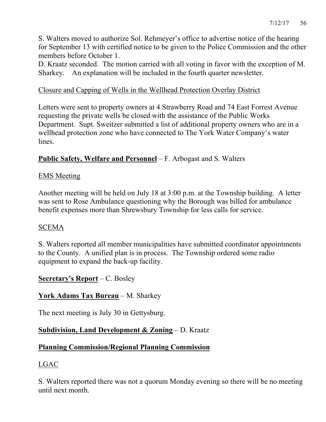S. Walters moved to authorize Sol. Rehmeyer's office to advertise notice of the hearing for September 13 with certified notice to be given to the Police Commission and the other members before October 1.

D. Kraatz seconded. The motion carried with all voting in favor with the exception of M. Sharkey. An explanation will be included in the fourth quarter newsletter.

### Closure and Capping of Wells in the Wellhead Protection Overlay District

Letters were sent to property owners at 4 Strawberry Road and 74 East Forrest Avenue requesting the private wells be closed with the assistance of the Public Works Department. Supt. Sweitzer submitted a list of additional property owners who are in a wellhead protection zone who have connected to The York Water Company's water lines.

#### **Public Safety, Welfare and Personnel** – F. Arbogast and S. Walters

#### EMS Meeting

Another meeting will be held on July 18 at 3:00 p.m. at the Township building. A letter was sent to Rose Ambulance questioning why the Borough was billed for ambulance benefit expenses more than Shrewsbury Township for less calls for service.

#### SCEMA

S. Walters reported all member municipalities have submitted coordinator appointments to the County. A unified plan is in process. The Township ordered some radio equipment to expand the back-up facility.

#### **Secretary's Report** – C. Bosley

### **York Adams Tax Bureau** – M. Sharkey

The next meeting is July 30 in Gettysburg.

### **Subdivision, Land Development & Zoning** – D. Kraatz

### **Planning Commission/Regional Planning Commission**

### LGAC

S. Walters reported there was not a quorum Monday evening so there will be no meeting until next month.